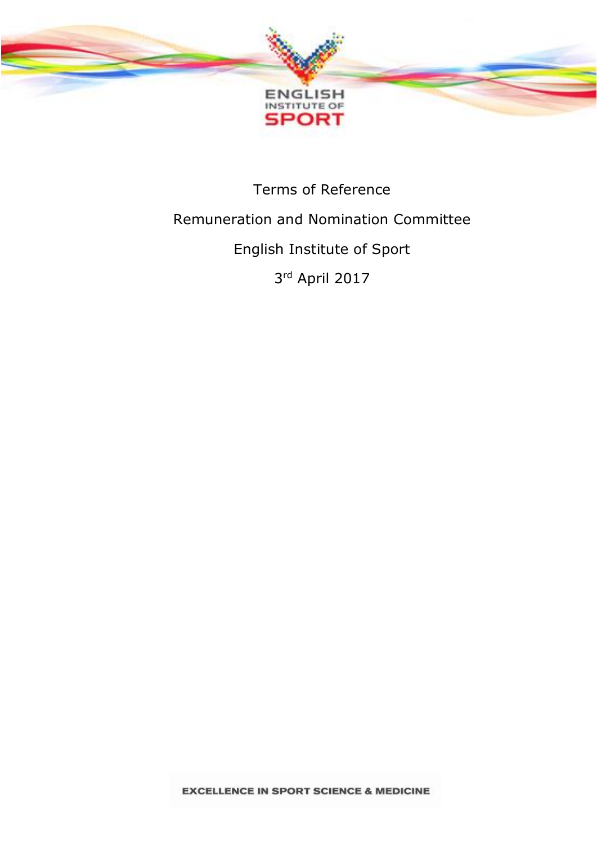

# Terms of Reference Remuneration and Nomination Committee English Institute of Sport 3 rd April 2017

**EXCELLENCE IN SPORT SCIENCE & MEDICINE**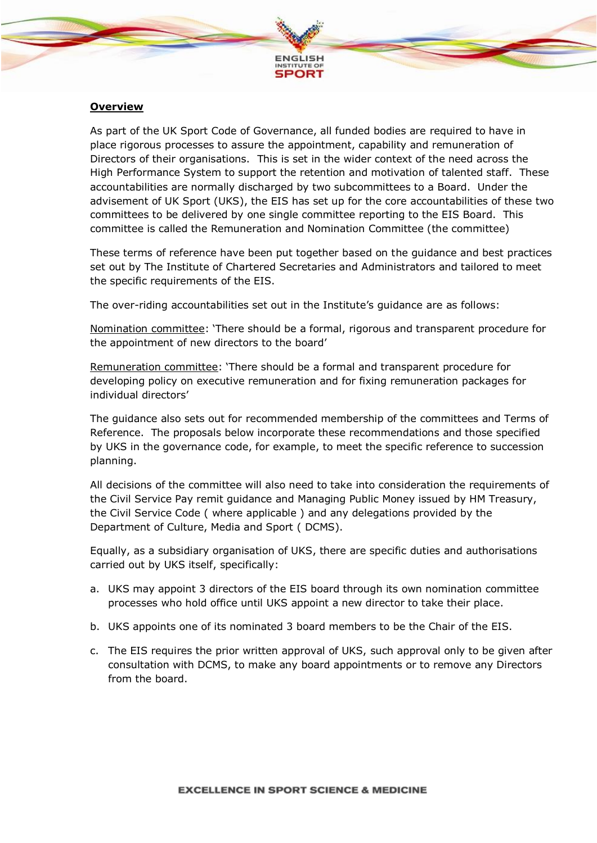

#### **Overview**

As part of the UK Sport Code of Governance, all funded bodies are required to have in place rigorous processes to assure the appointment, capability and remuneration of Directors of their organisations. This is set in the wider context of the need across the High Performance System to support the retention and motivation of talented staff. These accountabilities are normally discharged by two subcommittees to a Board. Under the advisement of UK Sport (UKS), the EIS has set up for the core accountabilities of these two committees to be delivered by one single committee reporting to the EIS Board. This committee is called the Remuneration and Nomination Committee (the committee)

These terms of reference have been put together based on the guidance and best practices set out by The Institute of Chartered Secretaries and Administrators and tailored to meet the specific requirements of the EIS.

The over-riding accountabilities set out in the Institute's guidance are as follows:

Nomination committee: 'There should be a formal, rigorous and transparent procedure for the appointment of new directors to the board'

Remuneration committee: 'There should be a formal and transparent procedure for developing policy on executive remuneration and for fixing remuneration packages for individual directors'

The guidance also sets out for recommended membership of the committees and Terms of Reference. The proposals below incorporate these recommendations and those specified by UKS in the governance code, for example, to meet the specific reference to succession planning.

All decisions of the committee will also need to take into consideration the requirements of the Civil Service Pay remit guidance and Managing Public Money issued by HM Treasury, the Civil Service Code ( where applicable ) and any delegations provided by the Department of Culture, Media and Sport ( DCMS).

Equally, as a subsidiary organisation of UKS, there are specific duties and authorisations carried out by UKS itself, specifically:

- a. UKS may appoint 3 directors of the EIS board through its own nomination committee processes who hold office until UKS appoint a new director to take their place.
- b. UKS appoints one of its nominated 3 board members to be the Chair of the EIS.
- c. The EIS requires the prior written approval of UKS, such approval only to be given after consultation with DCMS, to make any board appointments or to remove any Directors from the board.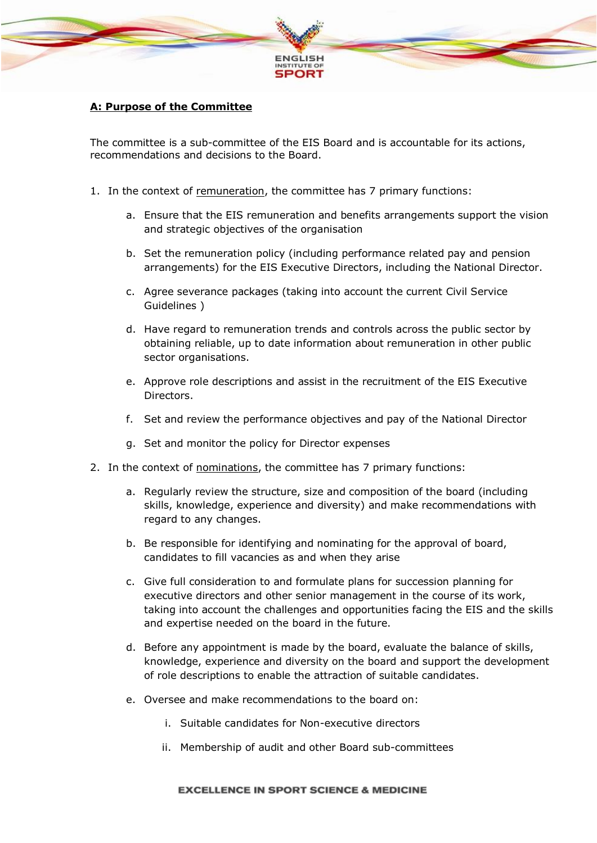

## **A: Purpose of the Committee**

The committee is a sub-committee of the EIS Board and is accountable for its actions, recommendations and decisions to the Board.

- 1. In the context of remuneration, the committee has 7 primary functions:
	- a. Ensure that the EIS remuneration and benefits arrangements support the vision and strategic objectives of the organisation
	- b. Set the remuneration policy (including performance related pay and pension arrangements) for the EIS Executive Directors, including the National Director.
	- c. Agree severance packages (taking into account the current Civil Service Guidelines )
	- d. Have regard to remuneration trends and controls across the public sector by obtaining reliable, up to date information about remuneration in other public sector organisations.
	- e. Approve role descriptions and assist in the recruitment of the EIS Executive Directors.
	- f. Set and review the performance objectives and pay of the National Director
	- g. Set and monitor the policy for Director expenses
- 2. In the context of nominations, the committee has 7 primary functions:
	- a. Regularly review the structure, size and composition of the board (including skills, knowledge, experience and diversity) and make recommendations with regard to any changes.
	- b. Be responsible for identifying and nominating for the approval of board, candidates to fill vacancies as and when they arise
	- c. Give full consideration to and formulate plans for succession planning for executive directors and other senior management in the course of its work, taking into account the challenges and opportunities facing the EIS and the skills and expertise needed on the board in the future.
	- d. Before any appointment is made by the board, evaluate the balance of skills, knowledge, experience and diversity on the board and support the development of role descriptions to enable the attraction of suitable candidates.
	- e. Oversee and make recommendations to the board on:
		- i. Suitable candidates for Non-executive directors
		- ii. Membership of audit and other Board sub-committees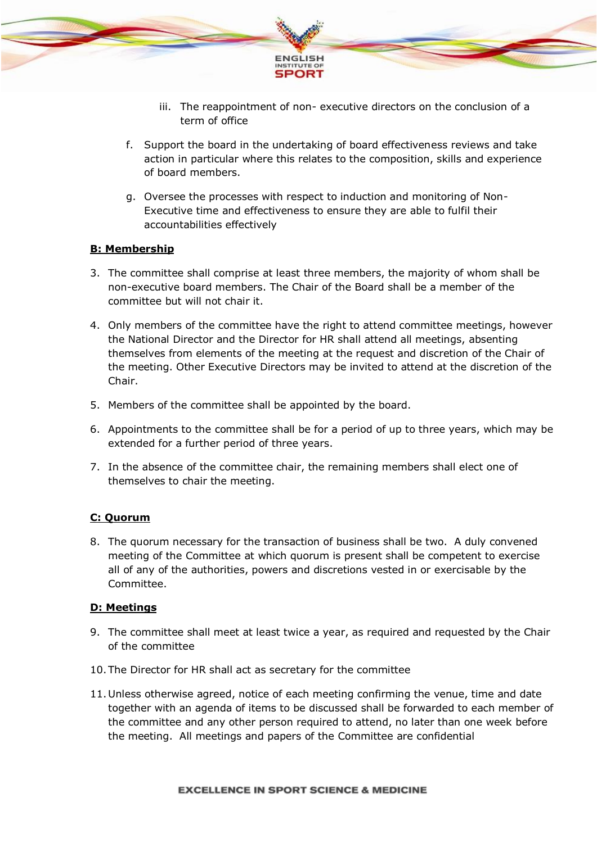

- iii. The reappointment of non- executive directors on the conclusion of a term of office
- f. Support the board in the undertaking of board effectiveness reviews and take action in particular where this relates to the composition, skills and experience of board members.
- g. Oversee the processes with respect to induction and monitoring of Non-Executive time and effectiveness to ensure they are able to fulfil their accountabilities effectively

#### **B: Membership**

- 3. The committee shall comprise at least three members, the majority of whom shall be non-executive board members. The Chair of the Board shall be a member of the committee but will not chair it.
- 4. Only members of the committee have the right to attend committee meetings, however the National Director and the Director for HR shall attend all meetings, absenting themselves from elements of the meeting at the request and discretion of the Chair of the meeting. Other Executive Directors may be invited to attend at the discretion of the Chair.
- 5. Members of the committee shall be appointed by the board.
- 6. Appointments to the committee shall be for a period of up to three years, which may be extended for a further period of three years.
- 7. In the absence of the committee chair, the remaining members shall elect one of themselves to chair the meeting.

## **C: Quorum**

8. The quorum necessary for the transaction of business shall be two. A duly convened meeting of the Committee at which quorum is present shall be competent to exercise all of any of the authorities, powers and discretions vested in or exercisable by the Committee.

#### **D: Meetings**

- 9. The committee shall meet at least twice a year, as required and requested by the Chair of the committee
- 10.The Director for HR shall act as secretary for the committee
- 11.Unless otherwise agreed, notice of each meeting confirming the venue, time and date together with an agenda of items to be discussed shall be forwarded to each member of the committee and any other person required to attend, no later than one week before the meeting. All meetings and papers of the Committee are confidential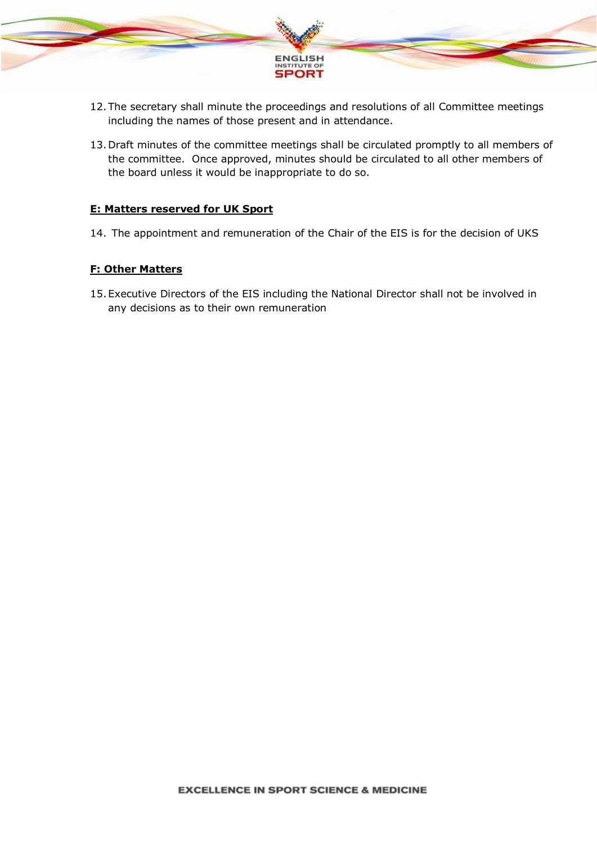

- 12.The secretary shall minute the proceedings and resolutions of all Committee meetings including the names of those present and in attendance.
- 13.Draft minutes of the committee meetings shall be circulated promptly to all members of the committee. Once approved, minutes should be circulated to all other members of the board unless it would be inappropriate to do so.

#### **E: Matters reserved for UK Sport**

14. The appointment and remuneration of the Chair of the EIS is for the decision of UKS

## **F: Other Matters**

15.Executive Directors of the EIS including the National Director shall not be involved in any decisions as to their own remuneration